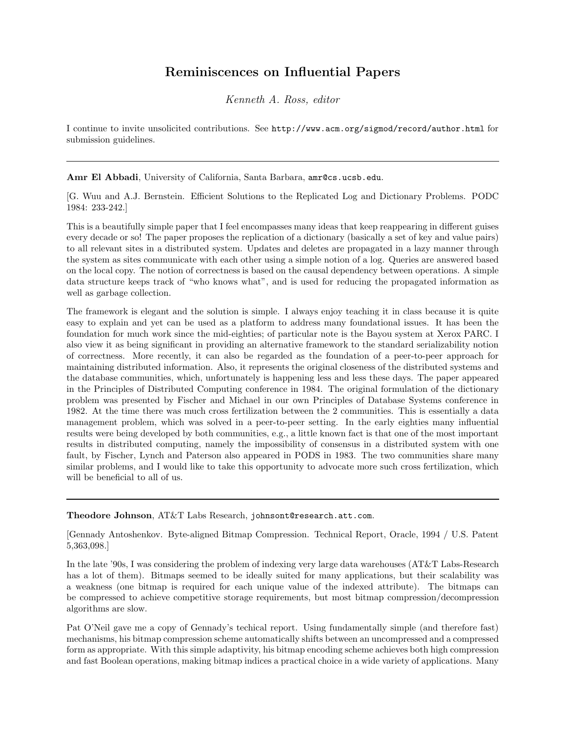## Reminiscences on Influential Papers

Kenneth A. Ross, editor

I continue to invite unsolicited contributions. See http://www.acm.org/sigmod/record/author.html for submission guidelines.

Amr El Abbadi, University of California, Santa Barbara, amr@cs.ucsb.edu.

[G. Wuu and A.J. Bernstein. Efficient Solutions to the Replicated Log and Dictionary Problems. PODC 1984: 233-242.]

This is a beautifully simple paper that I feel encompasses many ideas that keep reappearing in different guises every decade or so! The paper proposes the replication of a dictionary (basically a set of key and value pairs) to all relevant sites in a distributed system. Updates and deletes are propagated in a lazy manner through the system as sites communicate with each other using a simple notion of a log. Queries are answered based on the local copy. The notion of correctness is based on the causal dependency between operations. A simple data structure keeps track of "who knows what", and is used for reducing the propagated information as well as garbage collection.

The framework is elegant and the solution is simple. I always enjoy teaching it in class because it is quite easy to explain and yet can be used as a platform to address many foundational issues. It has been the foundation for much work since the mid-eighties; of particular note is the Bayou system at Xerox PARC. I also view it as being significant in providing an alternative framework to the standard serializability notion of correctness. More recently, it can also be regarded as the foundation of a peer-to-peer approach for maintaining distributed information. Also, it represents the original closeness of the distributed systems and the database communities, which, unfortunately is happening less and less these days. The paper appeared in the Principles of Distributed Computing conference in 1984. The original formulation of the dictionary problem was presented by Fischer and Michael in our own Principles of Database Systems conference in 1982. At the time there was much cross fertilization between the 2 communities. This is essentially a data management problem, which was solved in a peer-to-peer setting. In the early eighties many influential results were being developed by both communities, e.g., a little known fact is that one of the most important results in distributed computing, namely the impossibility of consensus in a distributed system with one fault, by Fischer, Lynch and Paterson also appeared in PODS in 1983. The two communities share many similar problems, and I would like to take this opportunity to advocate more such cross fertilization, which will be beneficial to all of us.

Theodore Johnson, AT&T Labs Research, johnsont@research.att.com.

[Gennady Antoshenkov. Byte-aligned Bitmap Compression. Technical Report, Oracle, 1994 / U.S. Patent 5,363,098.]

In the late '90s, I was considering the problem of indexing very large data warehouses (AT&T Labs-Research has a lot of them). Bitmaps seemed to be ideally suited for many applications, but their scalability was a weakness (one bitmap is required for each unique value of the indexed attribute). The bitmaps can be compressed to achieve competitive storage requirements, but most bitmap compression/decompression algorithms are slow.

Pat O'Neil gave me a copy of Gennady's techical report. Using fundamentally simple (and therefore fast) mechanisms, his bitmap compression scheme automatically shifts between an uncompressed and a compressed form as appropriate. With this simple adaptivity, his bitmap encoding scheme achieves both high compression and fast Boolean operations, making bitmap indices a practical choice in a wide variety of applications. Many